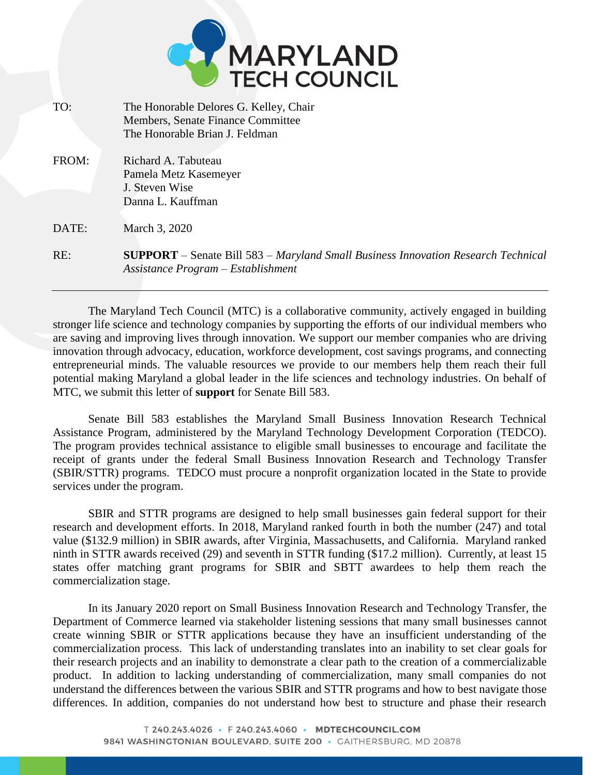

| TO:   | The Honorable Delores G. Kelley, Chair                                                                                         |
|-------|--------------------------------------------------------------------------------------------------------------------------------|
|       | Members, Senate Finance Committee                                                                                              |
|       | The Honorable Brian J. Feldman                                                                                                 |
|       |                                                                                                                                |
| FROM: | Richard A. Tabuteau                                                                                                            |
|       | Pamela Metz Kasemeyer                                                                                                          |
|       | J. Steven Wise                                                                                                                 |
|       | Danna L. Kauffman                                                                                                              |
| DATE: | March 3, 2020                                                                                                                  |
| RE:   | <b>SUPPORT</b> – Senate Bill 583 – Maryland Small Business Innovation Research Technical<br>Assistance Program – Establishment |
|       |                                                                                                                                |

The Maryland Tech Council (MTC) is a collaborative community, actively engaged in building stronger life science and technology companies by supporting the efforts of our individual members who are saving and improving lives through innovation. We support our member companies who are driving innovation through advocacy, education, workforce development, cost savings programs, and connecting entrepreneurial minds. The valuable resources we provide to our members help them reach their full potential making Maryland a global leader in the life sciences and technology industries. On behalf of MTC, we submit this letter of **support** for Senate Bill 583.

Senate Bill 583 establishes the Maryland Small Business Innovation Research Technical Assistance Program, administered by the Maryland Technology Development Corporation (TEDCO). The program provides technical assistance to eligible small businesses to encourage and facilitate the receipt of grants under the federal Small Business Innovation Research and Technology Transfer (SBIR/STTR) programs. TEDCO must procure a nonprofit organization located in the State to provide services under the program.

SBIR and STTR programs are designed to help small businesses gain federal support for their research and development efforts. In 2018, Maryland ranked fourth in both the number (247) and total value (\$132.9 million) in SBIR awards, after Virginia, Massachusetts, and California. Maryland ranked ninth in STTR awards received (29) and seventh in STTR funding (\$17.2 million). Currently, at least 15 states offer matching grant programs for SBIR and SBTT awardees to help them reach the commercialization stage.

In its January 2020 report on Small Business Innovation Research and Technology Transfer, the Department of Commerce learned via stakeholder listening sessions that many small businesses cannot create winning SBIR or STTR applications because they have an insufficient understanding of the commercialization process. This lack of understanding translates into an inability to set clear goals for their research projects and an inability to demonstrate a clear path to the creation of a commercializable product. In addition to lacking understanding of commercialization, many small companies do not understand the differences between the various SBIR and STTR programs and how to best navigate those differences. In addition, companies do not understand how best to structure and phase their research